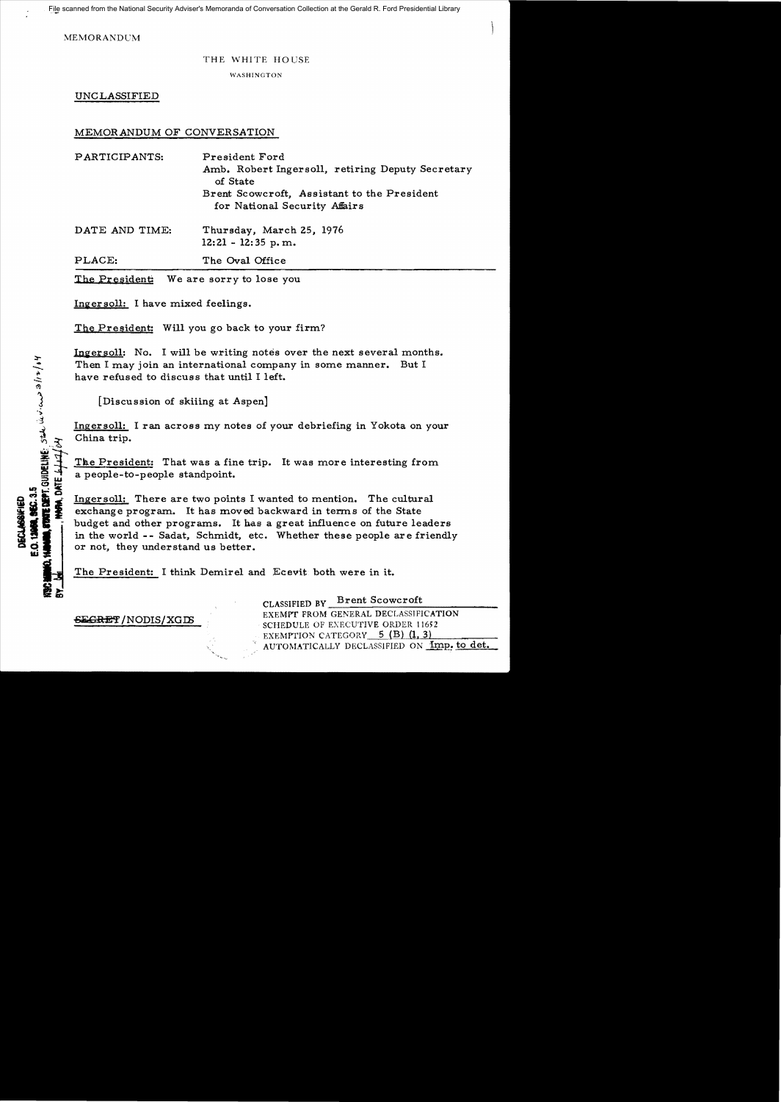MEMORANDUM

## THE WHITE HOUSE

WASHINGTON

UNCLASSIFIED

## MEMORANDUM OF CONVERSATION

| PARTICIPANTS: | President Ford                                               |
|---------------|--------------------------------------------------------------|
|               | Amb. Robert Ingersoll, retiring Deputy Secretary<br>of State |
|               | Brent Scowcroft, Assistant to the President                  |
|               | for National Security Affairs                                |
|               |                                                              |

DATE AND TIME: Thursday, March 25, 1976 12: 21 - 12: 35 p. m.

PLACE: The Oval Office

The President: We are sorry to lose you

Ingersoll: I have mixed feelings.

The President: Will you go back to your firm?

Ingersoll: No. I will be writing notes over the next several months. Then I may join an international company in some manner. But I have refused to discuss that until I left.

[Discussion of skiiing at Aspen]

Ingersoll: I ran across my notes of your debriefing in Yokota on your China trip.

The President: That was a fine trip. It was more interesting from a people-to-people standpoint.

Ingersoll: There are two points I wanted to mention. The cultural exchange program. It has moved backward in terms of the State budget and other programs. It has a great influence on future leaders in the world - - Sadat, Schmidt, etc. Whether these people are friendly or not, they understand us better.

The President: I think Demirel and Ecevit both were in it.

CLASSIFIED BY Brent Scowcroft EXEMPT FROM GENERAL DECLASSIFICATION EXEMPT FROM GENERAL DECLASSIFICATION SCHEDULE OF EXECUTIVE ORDER 11652 EXEMPTION CATEGORY 5 (B) (1, 3) AUTOMATICALLY DECLASSIFIED ON Imp. to det.

88, SIG. 3.5<br>FRITE DIPT. GUIDELINE: State devices a fra for ξ

O. 12968. SEC. 3.5 **DECLASSIFIED** 

**TT 3MC**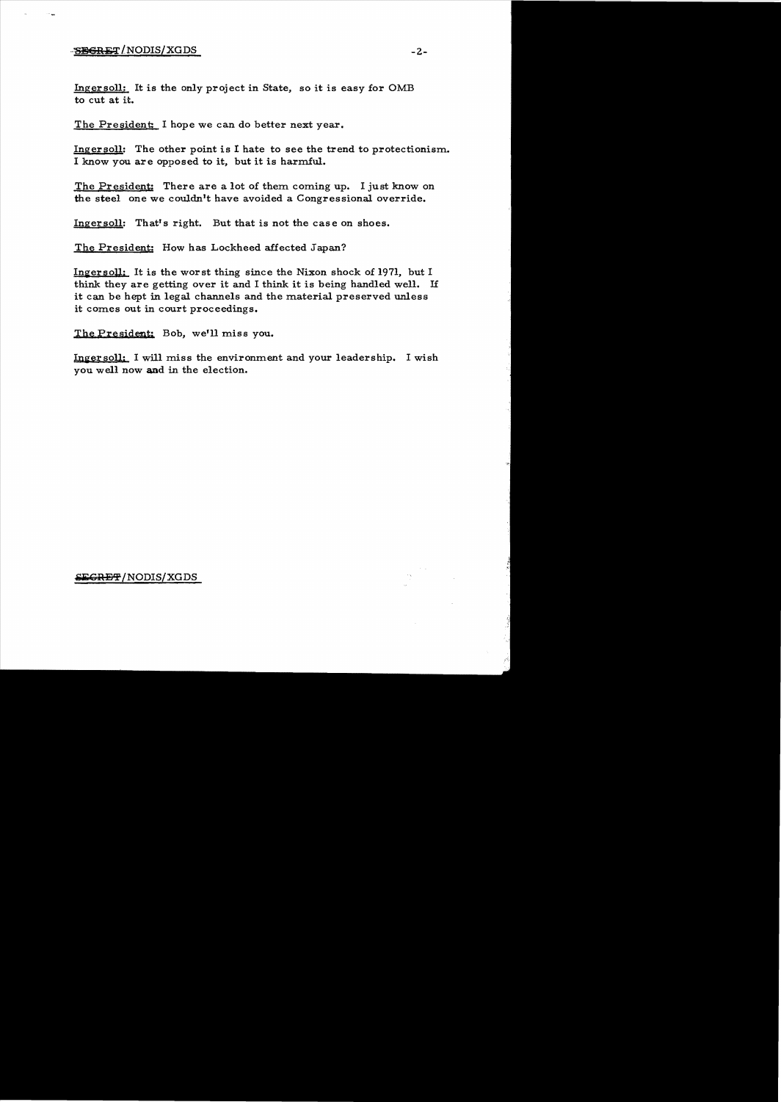## -SBGRET/NODIS/XGDS

Ingersoll: It is the only project in State. so it is easy for OMB to cut at it.

The President: I hope we can do better next year.

Ingersoll: The other point is I hate to see the trend to protectionism. I know you are opposed to it. but it is harmful.

The President: There are a lot of them coming up. I just know on the steel one we couldn't have avoided a Congressional override.

Ingersoll: That's right. But that is not the case on shoes.

The President: How has Lockheed affected Japan?

Ingersoll: It is the worst thing since the Nixon shock of 1971, but I think they are getting over it and I think it is being handled well. If it can be hept in legal channels and the material preserved unless it comes out in court proceedings.

The President: Bob, we'll miss you.

Ingersoll: I will miss the environment and your leadership. I wish you well now and in the election.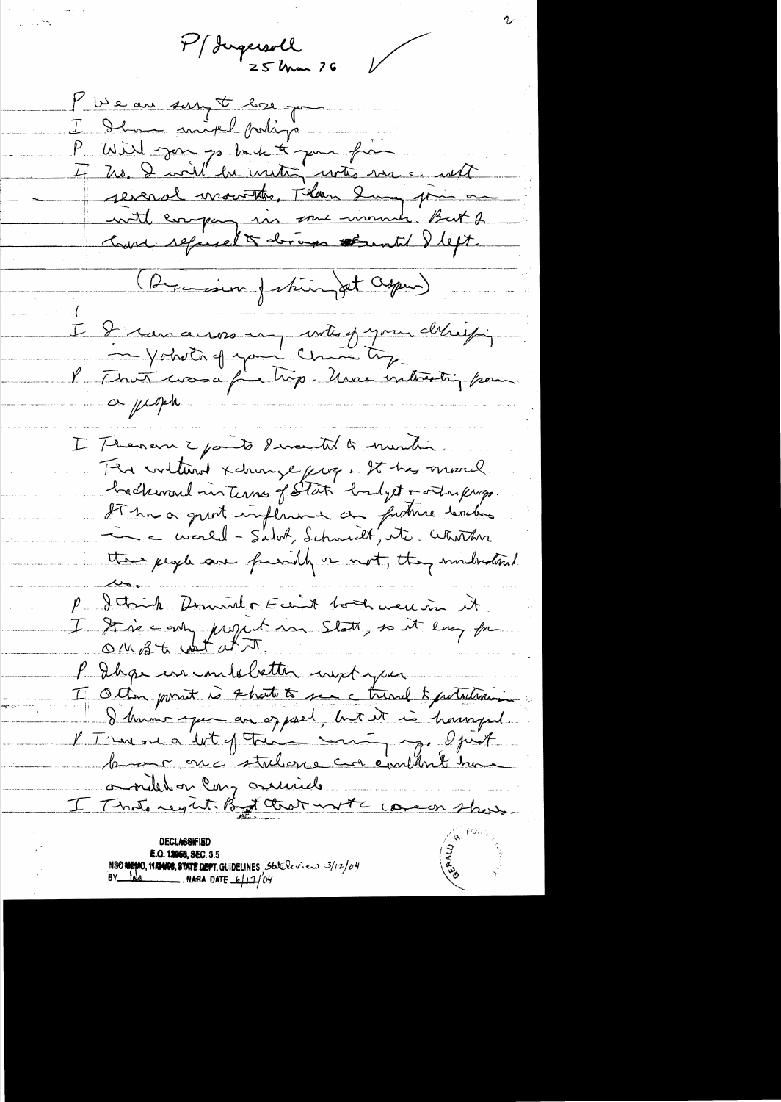P/ Jugersoll  $25$  Man  $76$ 

 $\bigvee$ 

Museau son F les pour I Ilme inited poline P Will gave go back to goin from 4 Me D will be writing with me a will several mountes, Than Sury prin on with company in some winner. But 2 Court refined & deros thenthe Ileft. (Dernien Jehanget Osper) I I ranceres un unte of your délicitif a people. I Thenan 2 parts devantil & murding The internet xchinge prop. It has moved backward in Turns of Stati badyet + ortan kings It has a quint impliment au future textes there people one fundly a not, they multipland P. Jetrich Dominal of Ecant both were in it. I drie employed in State, so it employed P Dage in undeletter ingt you Other point is that to see a trind to perturban I know you are of poet, but it is havinged. l'Ismare a let of Trim mining. Opist omitel on Cary ominich I That's regist By that with come show.

DECLASSIFIED E.O. 12058, SEC. 3.5 NSC NEWO, 11ANOR, STATE DEFT. GUIDELINES State levieur 3/12/04<br>BY NA